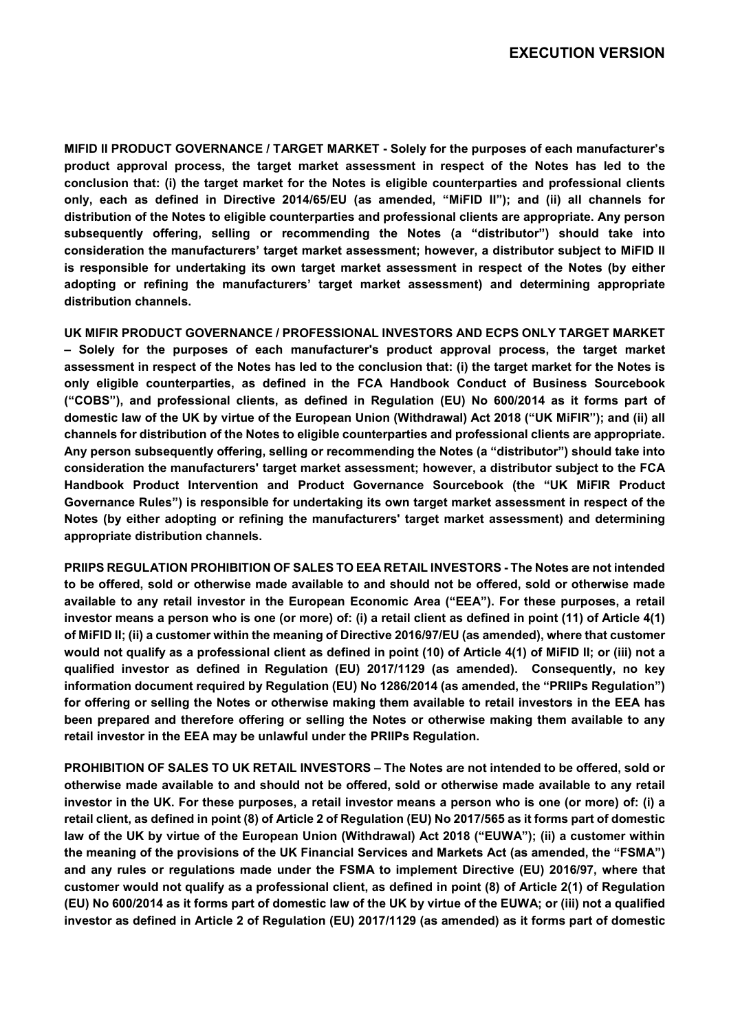**MIFID II PRODUCT GOVERNANCE / TARGET MARKET - Solely for the purposes of each manufacturer's product approval process, the target market assessment in respect of the Notes has led to the conclusion that: (i) the target market for the Notes is eligible counterparties and professional clients only, each as defined in Directive 2014/65/EU (as amended, "MiFID II"); and (ii) all channels for distribution of the Notes to eligible counterparties and professional clients are appropriate. Any person subsequently offering, selling or recommending the Notes (a "distributor") should take into consideration the manufacturers' target market assessment; however, a distributor subject to MiFID II is responsible for undertaking its own target market assessment in respect of the Notes (by either adopting or refining the manufacturers' target market assessment) and determining appropriate distribution channels.** 

**UK MIFIR PRODUCT GOVERNANCE / PROFESSIONAL INVESTORS AND ECPS ONLY TARGET MARKET – Solely for the purposes of each manufacturer's product approval process, the target market assessment in respect of the Notes has led to the conclusion that: (i) the target market for the Notes is only eligible counterparties, as defined in the FCA Handbook Conduct of Business Sourcebook ("COBS"), and professional clients, as defined in Regulation (EU) No 600/2014 as it forms part of domestic law of the UK by virtue of the European Union (Withdrawal) Act 2018 ("UK MiFIR"); and (ii) all channels for distribution of the Notes to eligible counterparties and professional clients are appropriate. Any person subsequently offering, selling or recommending the Notes (a "distributor") should take into consideration the manufacturers' target market assessment; however, a distributor subject to the FCA Handbook Product Intervention and Product Governance Sourcebook (the "UK MiFIR Product Governance Rules") is responsible for undertaking its own target market assessment in respect of the Notes (by either adopting or refining the manufacturers' target market assessment) and determining appropriate distribution channels.** 

**PRIIPS REGULATION PROHIBITION OF SALES TO EEA RETAIL INVESTORS - The Notes are not intended to be offered, sold or otherwise made available to and should not be offered, sold or otherwise made available to any retail investor in the European Economic Area ("EEA"). For these purposes, a retail investor means a person who is one (or more) of: (i) a retail client as defined in point (11) of Article 4(1) of MiFID II; (ii) a customer within the meaning of Directive 2016/97/EU (as amended), where that customer would not qualify as a professional client as defined in point (10) of Article 4(1) of MiFID II; or (iii) not a qualified investor as defined in Regulation (EU) 2017/1129 (as amended). Consequently, no key information document required by Regulation (EU) No 1286/2014 (as amended, the "PRIIPs Regulation") for offering or selling the Notes or otherwise making them available to retail investors in the EEA has been prepared and therefore offering or selling the Notes or otherwise making them available to any retail investor in the EEA may be unlawful under the PRIIPs Regulation.** 

**PROHIBITION OF SALES TO UK RETAIL INVESTORS – The Notes are not intended to be offered, sold or otherwise made available to and should not be offered, sold or otherwise made available to any retail investor in the UK. For these purposes, a retail investor means a person who is one (or more) of: (i) a retail client, as defined in point (8) of Article 2 of Regulation (EU) No 2017/565 as it forms part of domestic law of the UK by virtue of the European Union (Withdrawal) Act 2018 ("EUWA"); (ii) a customer within the meaning of the provisions of the UK Financial Services and Markets Act (as amended, the "FSMA") and any rules or regulations made under the FSMA to implement Directive (EU) 2016/97, where that customer would not qualify as a professional client, as defined in point (8) of Article 2(1) of Regulation (EU) No 600/2014 as it forms part of domestic law of the UK by virtue of the EUWA; or (iii) not a qualified investor as defined in Article 2 of Regulation (EU) 2017/1129 (as amended) as it forms part of domestic**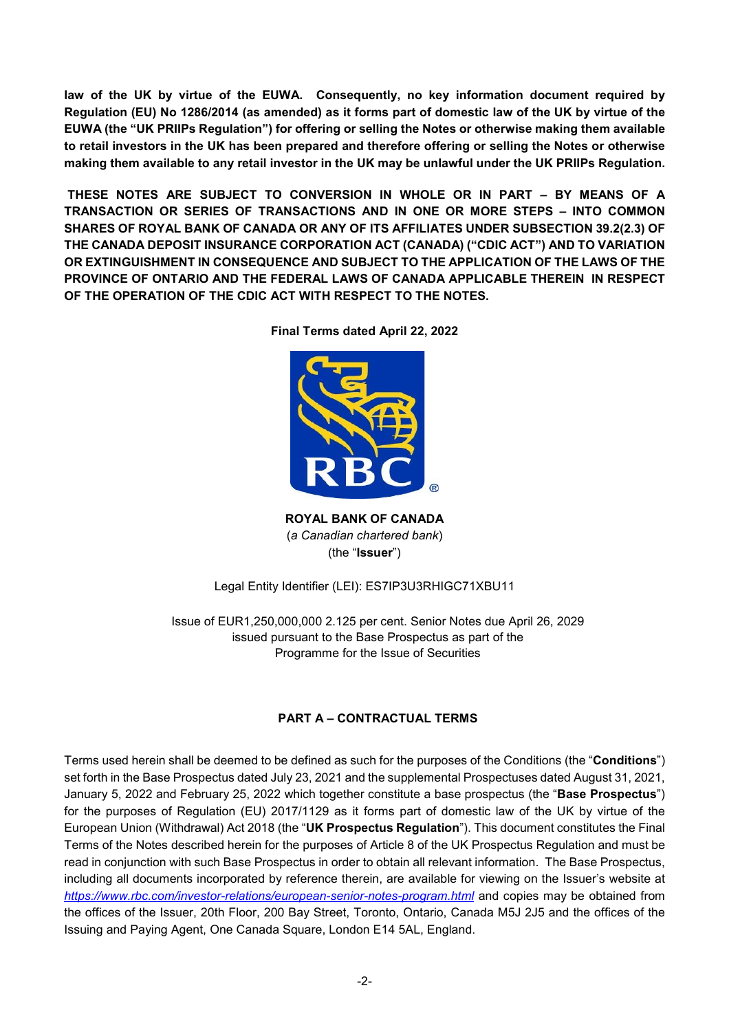**law of the UK by virtue of the EUWA. Consequently, no key information document required by Regulation (EU) No 1286/2014 (as amended) as it forms part of domestic law of the UK by virtue of the EUWA (the "UK PRIIPs Regulation") for offering or selling the Notes or otherwise making them available to retail investors in the UK has been prepared and therefore offering or selling the Notes or otherwise making them available to any retail investor in the UK may be unlawful under the UK PRIIPs Regulation.**

 **THESE NOTES ARE SUBJECT TO CONVERSION IN WHOLE OR IN PART – BY MEANS OF A TRANSACTION OR SERIES OF TRANSACTIONS AND IN ONE OR MORE STEPS – INTO COMMON SHARES OF ROYAL BANK OF CANADA OR ANY OF ITS AFFILIATES UNDER SUBSECTION 39.2(2.3) OF THE CANADA DEPOSIT INSURANCE CORPORATION ACT (CANADA) ("CDIC ACT") AND TO VARIATION OR EXTINGUISHMENT IN CONSEQUENCE AND SUBJECT TO THE APPLICATION OF THE LAWS OF THE PROVINCE OF ONTARIO AND THE FEDERAL LAWS OF CANADA APPLICABLE THEREIN IN RESPECT OF THE OPERATION OF THE CDIC ACT WITH RESPECT TO THE NOTES.**



**Final Terms dated April 22, 2022** 

**ROYAL BANK OF CANADA**  (*a Canadian chartered bank*) (the "**Issuer**")

## Legal Entity Identifier (LEI): ES7IP3U3RHIGC71XBU11

Issue of EUR1,250,000,000 2.125 per cent. Senior Notes due April 26, 2029 issued pursuant to the Base Prospectus as part of the Programme for the Issue of Securities

## **PART A – CONTRACTUAL TERMS**

Terms used herein shall be deemed to be defined as such for the purposes of the Conditions (the "**Conditions**") set forth in the Base Prospectus dated July 23, 2021 and the supplemental Prospectuses dated August 31, 2021, January 5, 2022 and February 25, 2022 which together constitute a base prospectus (the "**Base Prospectus**") for the purposes of Regulation (EU) 2017/1129 as it forms part of domestic law of the UK by virtue of the European Union (Withdrawal) Act 2018 (the "**UK Prospectus Regulation**"). This document constitutes the Final Terms of the Notes described herein for the purposes of Article 8 of the UK Prospectus Regulation and must be read in conjunction with such Base Prospectus in order to obtain all relevant information. The Base Prospectus, including all documents incorporated by reference therein, are available for viewing on the Issuer's website at *https://www.rbc.com/investor-relations/european-senior-notes-program.html* and copies may be obtained from the offices of the Issuer, 20th Floor, 200 Bay Street, Toronto, Ontario, Canada M5J 2J5 and the offices of the Issuing and Paying Agent, One Canada Square, London E14 5AL, England.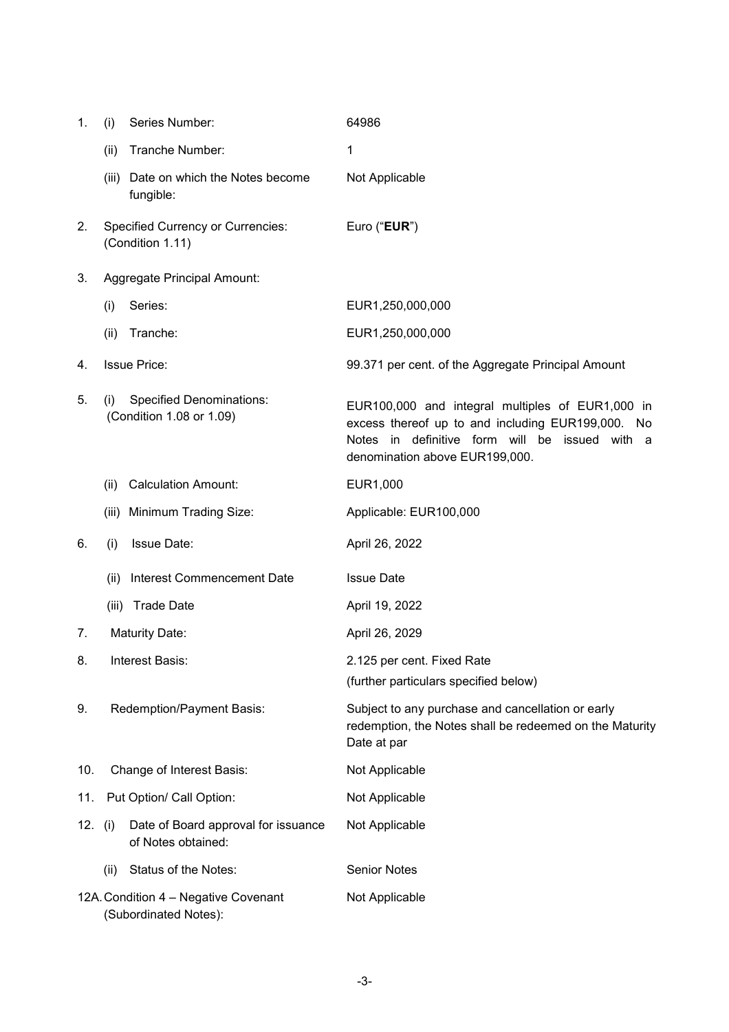| 1.                                                            | (i)                         | Series Number:                                               | 64986                                                                                                                                                                                     |
|---------------------------------------------------------------|-----------------------------|--------------------------------------------------------------|-------------------------------------------------------------------------------------------------------------------------------------------------------------------------------------------|
|                                                               | (ii)                        | Tranche Number:                                              | 1                                                                                                                                                                                         |
|                                                               |                             | (iii) Date on which the Notes become<br>fungible:            | Not Applicable                                                                                                                                                                            |
| 2.                                                            |                             | <b>Specified Currency or Currencies:</b><br>(Condition 1.11) | Euro ("EUR")                                                                                                                                                                              |
| 3.                                                            | Aggregate Principal Amount: |                                                              |                                                                                                                                                                                           |
|                                                               | (i)                         | Series:                                                      | EUR1,250,000,000                                                                                                                                                                          |
|                                                               | (ii)                        | Tranche:                                                     | EUR1,250,000,000                                                                                                                                                                          |
| 4.                                                            |                             | <b>Issue Price:</b>                                          | 99.371 per cent. of the Aggregate Principal Amount                                                                                                                                        |
| 5.                                                            | (i)                         | <b>Specified Denominations:</b><br>(Condition 1.08 or 1.09)  | EUR100,000 and integral multiples of EUR1,000 in<br>excess thereof up to and including EUR199,000. No<br>Notes in definitive form will be issued with a<br>denomination above EUR199,000. |
|                                                               | (ii)                        | <b>Calculation Amount:</b>                                   | EUR1,000                                                                                                                                                                                  |
|                                                               |                             | (iii) Minimum Trading Size:                                  | Applicable: EUR100,000                                                                                                                                                                    |
| 6.                                                            | (i)                         | Issue Date:                                                  | April 26, 2022                                                                                                                                                                            |
|                                                               | (ii)                        | Interest Commencement Date                                   | <b>Issue Date</b>                                                                                                                                                                         |
|                                                               |                             | (iii) Trade Date                                             | April 19, 2022                                                                                                                                                                            |
| 7.                                                            |                             | <b>Maturity Date:</b>                                        | April 26, 2029                                                                                                                                                                            |
| 8.                                                            |                             | Interest Basis:                                              | 2.125 per cent. Fixed Rate<br>(further particulars specified below)                                                                                                                       |
| 9.                                                            |                             | Redemption/Payment Basis:                                    | Subject to any purchase and cancellation or early<br>redemption, the Notes shall be redeemed on the Maturity<br>Date at par                                                               |
| 10.                                                           |                             | Change of Interest Basis:                                    | Not Applicable                                                                                                                                                                            |
| 11.                                                           |                             | Put Option/ Call Option:                                     | Not Applicable                                                                                                                                                                            |
| 12. (i)                                                       |                             | Date of Board approval for issuance<br>of Notes obtained:    | Not Applicable                                                                                                                                                                            |
|                                                               | (ii)                        | Status of the Notes:                                         | <b>Senior Notes</b>                                                                                                                                                                       |
| 12A. Condition 4 - Negative Covenant<br>(Subordinated Notes): |                             |                                                              | Not Applicable                                                                                                                                                                            |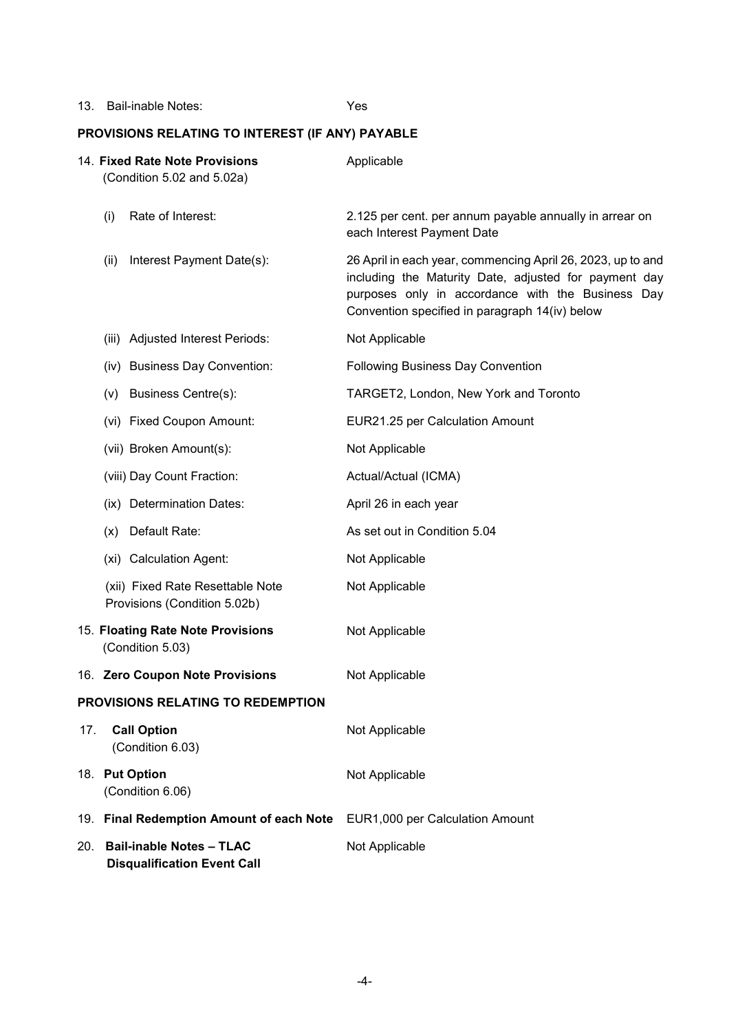13. Bail-inable Notes: Yes

# **PROVISIONS RELATING TO INTEREST (IF ANY) PAYABLE**

|                                   | 14. Fixed Rate Note Provisions<br>(Condition 5.02 and 5.02a) |                                                                       | Applicable                                                                                                                                                                                                                  |
|-----------------------------------|--------------------------------------------------------------|-----------------------------------------------------------------------|-----------------------------------------------------------------------------------------------------------------------------------------------------------------------------------------------------------------------------|
|                                   | (i)                                                          | Rate of Interest:                                                     | 2.125 per cent. per annum payable annually in arrear on<br>each Interest Payment Date                                                                                                                                       |
|                                   | (ii)                                                         | Interest Payment Date(s):                                             | 26 April in each year, commencing April 26, 2023, up to and<br>including the Maturity Date, adjusted for payment day<br>purposes only in accordance with the Business Day<br>Convention specified in paragraph 14(iv) below |
|                                   |                                                              | (iii) Adjusted Interest Periods:                                      | Not Applicable                                                                                                                                                                                                              |
|                                   |                                                              | (iv) Business Day Convention:                                         | <b>Following Business Day Convention</b>                                                                                                                                                                                    |
|                                   | (v)                                                          | <b>Business Centre(s):</b>                                            | TARGET2, London, New York and Toronto                                                                                                                                                                                       |
|                                   |                                                              | (vi) Fixed Coupon Amount:                                             | EUR21.25 per Calculation Amount                                                                                                                                                                                             |
|                                   |                                                              | (vii) Broken Amount(s):                                               | Not Applicable                                                                                                                                                                                                              |
|                                   |                                                              | (viii) Day Count Fraction:                                            | Actual/Actual (ICMA)                                                                                                                                                                                                        |
|                                   |                                                              | (ix) Determination Dates:                                             | April 26 in each year                                                                                                                                                                                                       |
|                                   | (x)                                                          | Default Rate:                                                         | As set out in Condition 5.04                                                                                                                                                                                                |
|                                   |                                                              | (xi) Calculation Agent:                                               | Not Applicable                                                                                                                                                                                                              |
|                                   |                                                              | (xii) Fixed Rate Resettable Note<br>Provisions (Condition 5.02b)      | Not Applicable                                                                                                                                                                                                              |
|                                   | 15. Floating Rate Note Provisions<br>(Condition 5.03)        |                                                                       | Not Applicable                                                                                                                                                                                                              |
|                                   |                                                              | 16. Zero Coupon Note Provisions                                       | Not Applicable                                                                                                                                                                                                              |
| PROVISIONS RELATING TO REDEMPTION |                                                              |                                                                       |                                                                                                                                                                                                                             |
| 17.                               |                                                              | <b>Call Option</b><br>(Condition 6.03)                                | Not Applicable                                                                                                                                                                                                              |
|                                   | 18. Put Option                                               | (Condition 6.06)                                                      | Not Applicable                                                                                                                                                                                                              |
|                                   | 19. Final Redemption Amount of each Note                     |                                                                       | EUR1,000 per Calculation Amount                                                                                                                                                                                             |
| 20.                               |                                                              | <b>Bail-inable Notes - TLAC</b><br><b>Disqualification Event Call</b> | Not Applicable                                                                                                                                                                                                              |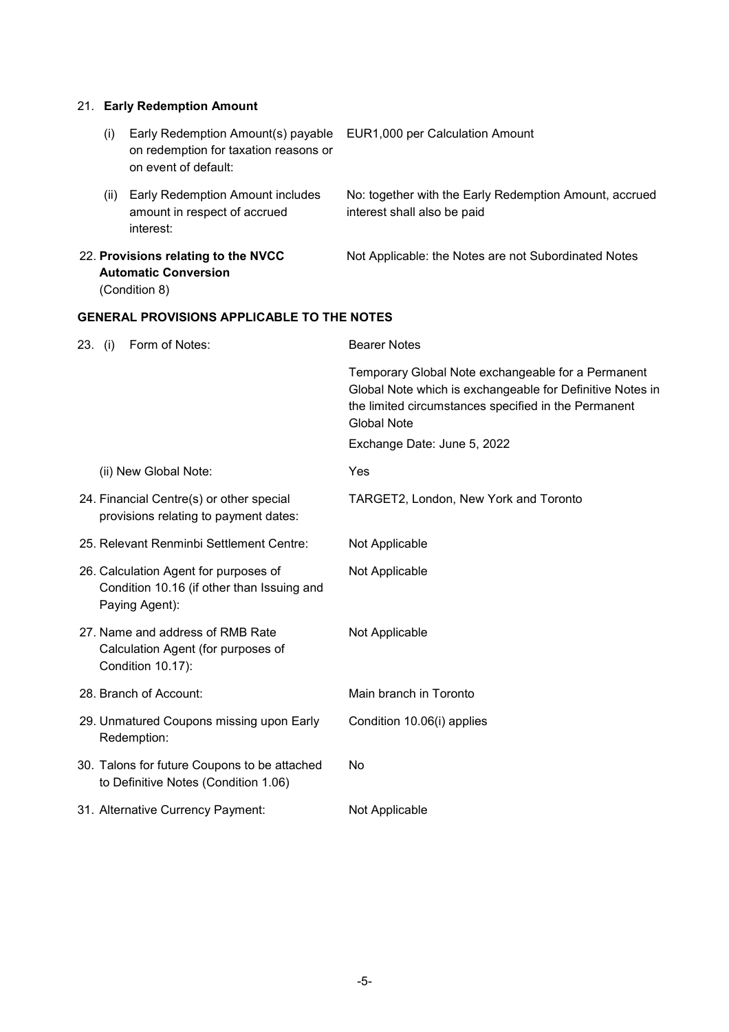## 21. **Early Redemption Amount**

| (i)                                                                                 | Early Redemption Amount(s) payable<br>on redemption for taxation reasons or<br>on event of default:   | <b>EUR1,000 per Calculation Amount</b>                                                                                                                                                                                       |
|-------------------------------------------------------------------------------------|-------------------------------------------------------------------------------------------------------|------------------------------------------------------------------------------------------------------------------------------------------------------------------------------------------------------------------------------|
| (ii)                                                                                | Early Redemption Amount includes<br>amount in respect of accrued<br>interest:                         | No: together with the Early Redemption Amount, accrued<br>interest shall also be paid                                                                                                                                        |
| 22. Provisions relating to the NVCC<br><b>Automatic Conversion</b><br>(Condition 8) |                                                                                                       | Not Applicable: the Notes are not Subordinated Notes                                                                                                                                                                         |
|                                                                                     | <b>GENERAL PROVISIONS APPLICABLE TO THE NOTES</b>                                                     |                                                                                                                                                                                                                              |
| 23. (i)                                                                             | Form of Notes:                                                                                        | <b>Bearer Notes</b>                                                                                                                                                                                                          |
|                                                                                     |                                                                                                       | Temporary Global Note exchangeable for a Permanent<br>Global Note which is exchangeable for Definitive Notes in<br>the limited circumstances specified in the Permanent<br><b>Global Note</b><br>Exchange Date: June 5, 2022 |
|                                                                                     |                                                                                                       |                                                                                                                                                                                                                              |
|                                                                                     | (ii) New Global Note:                                                                                 | Yes                                                                                                                                                                                                                          |
|                                                                                     | 24. Financial Centre(s) or other special<br>provisions relating to payment dates:                     | TARGET2, London, New York and Toronto                                                                                                                                                                                        |
|                                                                                     | 25. Relevant Renminbi Settlement Centre:                                                              | Not Applicable                                                                                                                                                                                                               |
|                                                                                     | 26. Calculation Agent for purposes of<br>Condition 10.16 (if other than Issuing and<br>Paying Agent): | Not Applicable                                                                                                                                                                                                               |
|                                                                                     | 27. Name and address of RMB Rate<br>Calculation Agent (for purposes of<br>Condition 10.17):           | Not Applicable                                                                                                                                                                                                               |
|                                                                                     | 28. Branch of Account:                                                                                | Main branch in Toronto                                                                                                                                                                                                       |
|                                                                                     | 29. Unmatured Coupons missing upon Early<br>Redemption:                                               | Condition 10.06(i) applies                                                                                                                                                                                                   |
|                                                                                     | 30. Talons for future Coupons to be attached<br>to Definitive Notes (Condition 1.06)                  | No                                                                                                                                                                                                                           |
|                                                                                     | 31. Alternative Currency Payment:                                                                     | Not Applicable                                                                                                                                                                                                               |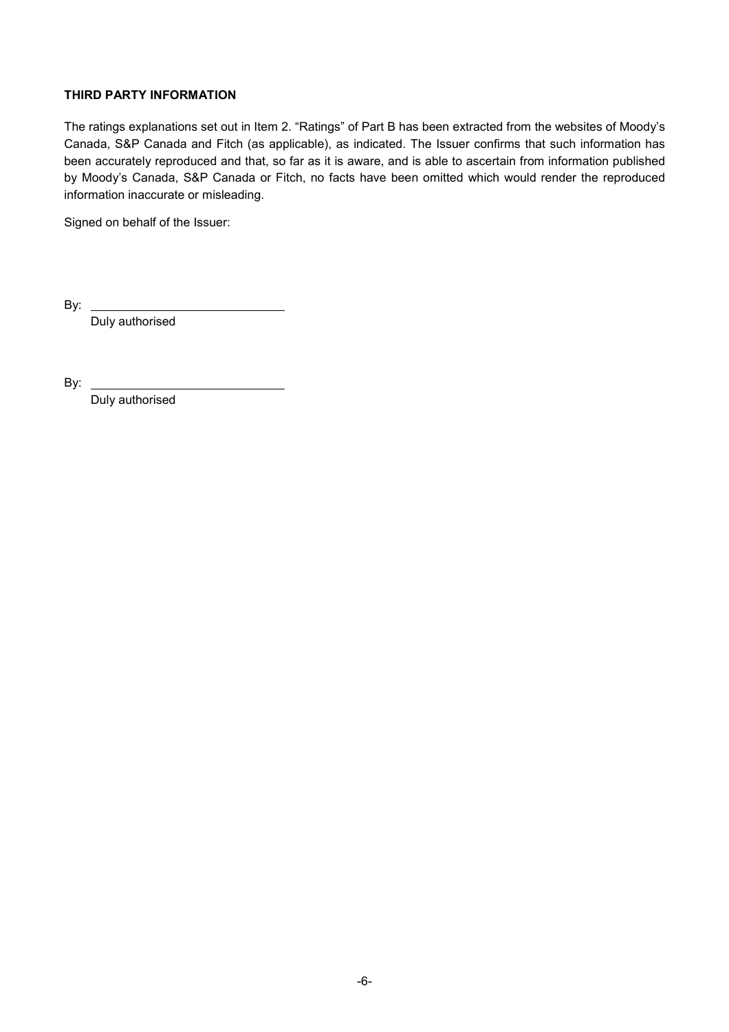## **THIRD PARTY INFORMATION**

The ratings explanations set out in Item 2. "Ratings" of Part B has been extracted from the websites of Moody's Canada, S&P Canada and Fitch (as applicable), as indicated. The Issuer confirms that such information has been accurately reproduced and that, so far as it is aware, and is able to ascertain from information published by Moody's Canada, S&P Canada or Fitch, no facts have been omitted which would render the reproduced information inaccurate or misleading.

Signed on behalf of the Issuer:

By:

Duly authorised

By:

Duly authorised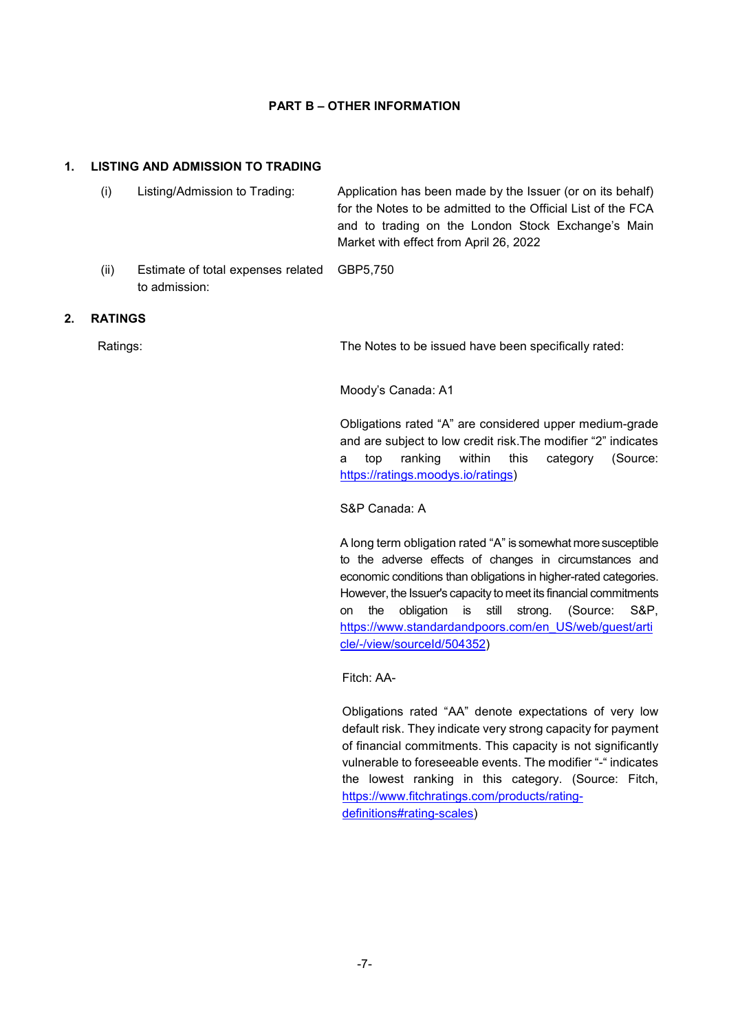#### **PART B – OTHER INFORMATION**

#### **1. LISTING AND ADMISSION TO TRADING**

|    | (i)            | Listing/Admission to Trading:                       | Application has been made by the Issuer (or on its behalf)<br>for the Notes to be admitted to the Official List of the FCA<br>and to trading on the London Stock Exchange's Main<br>Market with effect from April 26, 2022 |
|----|----------------|-----------------------------------------------------|----------------------------------------------------------------------------------------------------------------------------------------------------------------------------------------------------------------------------|
|    | (ii)           | Estimate of total expenses related<br>to admission: | GBP5,750                                                                                                                                                                                                                   |
| 2. | <b>RATINGS</b> |                                                     |                                                                                                                                                                                                                            |
|    | Ratings:       |                                                     | The Notes to be issued have been specifically rated:                                                                                                                                                                       |
|    |                |                                                     | Moody's Canada: A1                                                                                                                                                                                                         |
|    |                |                                                     | Obligations rated "A" are considered upper medium-grade<br>and are subject to low credit risk. The modifier "2" indicates<br>(Source:<br>ranking<br>within<br>this<br>category<br>top<br>a                                 |

S&P Canada: A

https://ratings.moodys.io/ratings)

A long term obligation rated "A" is somewhat more susceptible to the adverse effects of changes in circumstances and economic conditions than obligations in higher-rated categories. However, the Issuer's capacity to meet its financial commitments on the obligation is still strong. (Source: S&P, https://www.standardandpoors.com/en\_US/web/guest/arti cle/-/view/sourceId/504352)

Fitch: AA-

Obligations rated "AA" denote expectations of very low default risk. They indicate very strong capacity for payment of financial commitments. This capacity is not significantly vulnerable to foreseeable events. The modifier "-" indicates the lowest ranking in this category. (Source: Fitch, https://www.fitchratings.com/products/ratingdefinitions#rating-scales)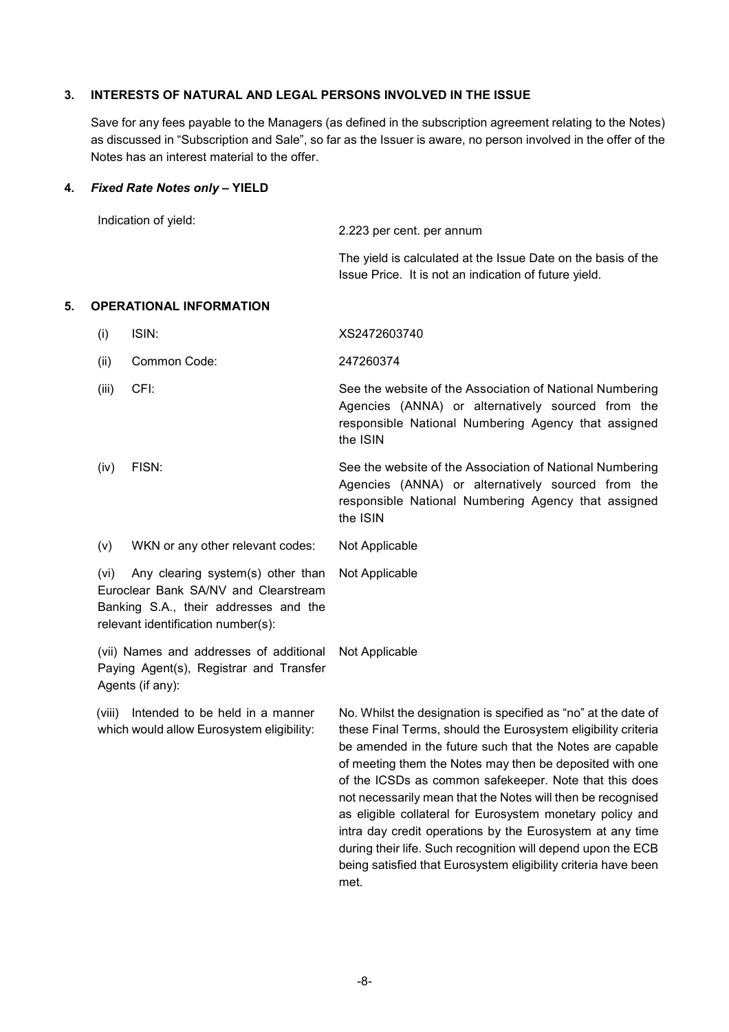#### **3. INTERESTS OF NATURAL AND LEGAL PERSONS INVOLVED IN THE ISSUE**

Save for any fees payable to the Managers (as defined in the subscription agreement relating to the Notes) as discussed in "Subscription and Sale", so far as the Issuer is aware, no person involved in the offer of the Notes has an interest material to the offer.

#### **4.** *Fixed Rate Notes only* **– YIELD**

| Indication of yield: | 2.223 per cent. per annum                                                                                              |
|----------------------|------------------------------------------------------------------------------------------------------------------------|
|                      | The yield is calculated at the Issue Date on the basis of the<br>Issue Price. It is not an indication of future yield. |

#### **5. OPERATIONAL INFORMATION**

| (i)   | ISIN:        | XS2472603740                                                                                                                                                                     |
|-------|--------------|----------------------------------------------------------------------------------------------------------------------------------------------------------------------------------|
| (ii)  | Common Code: | 247260374                                                                                                                                                                        |
| (iii) | CFI:         | See the website of the Association of National Numbering<br>Agencies (ANNA) or alternatively sourced from the<br>responsible National Numbering Agency that assigned<br>the ISIN |
| (iv)  | FISN:        | See the website of the Association of National Numbering<br>America (ANINIA) am altamachtrale agus an fuarra tha                                                                 |

Agencies (ANNA) or alternatively sourced from the responsible National Numbering Agency that assigned the ISIN

(v) WKN or any other relevant codes: Not Applicable

(vi) Any clearing system(s) other than Euroclear Bank SA/NV and Clearstream Banking S.A., their addresses and the relevant identification number(s): Not Applicable

(vii) Names and addresses of additional Paying Agent(s), Registrar and Transfer Agents (if any): Not Applicable

(viii) Intended to be held in a manner which would allow Eurosystem eligibility:

No. Whilst the designation is specified as "no" at the date of these Final Terms, should the Eurosystem eligibility criteria be amended in the future such that the Notes are capable of meeting them the Notes may then be deposited with one of the ICSDs as common safekeeper. Note that this does not necessarily mean that the Notes will then be recognised as eligible collateral for Eurosystem monetary policy and intra day credit operations by the Eurosystem at any time during their life. Such recognition will depend upon the ECB being satisfied that Eurosystem eligibility criteria have been met.